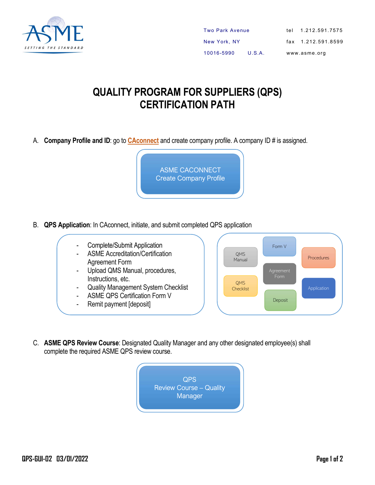

## QUALITY PROGRAM FOR SUPPLIERS (QPS) CERTIFICATION PATH

A. Company Profile and ID: go to [CAconnect](caconnect.asme.org) and create company profile. A company ID # is assigned.

ASME CACONNECT Create Company Profile

- B. QPS Application: In CAconnect, initiate, and submit completed QPS application
	- Complete/Submit Application
	- ASME Accreditation/Certification Agreement Form
	- Upload QMS Manual, procedures, Instructions, etc.
	- Quality Management System Checklist
	- ASME QPS Certification Form V
	- Remit payment [deposit]



C. ASME QPS Review Course: Designated Quality Manager and any other designated employee(s) shall complete the required ASME QPS review course.